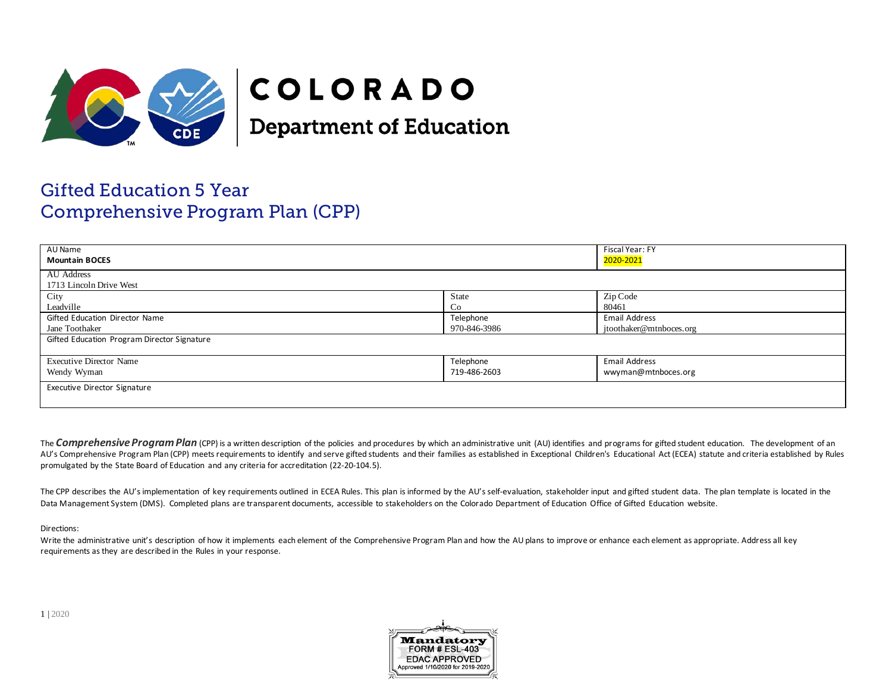

# COLORADO

**Department of Education** 

# Gifted Education 5 Year Comprehensive Program Plan (CPP)

| AU Name<br><b>Mountain BOCES</b>                 |                           | Fiscal Year: FY<br>2020-2021                    |  |
|--------------------------------------------------|---------------------------|-------------------------------------------------|--|
| AU Address<br>1713 Lincoln Drive West            |                           |                                                 |  |
| City<br>Leadville                                | State<br>Co               | Zip Code<br>80461                               |  |
| Gifted Education Director Name<br>Jane Toothaker | Telephone<br>970-846-3986 | <b>Email Address</b><br>jtoothaker@mtnboces.org |  |
| Gifted Education Program Director Signature      |                           |                                                 |  |
| <b>Executive Director Name</b><br>Wendy Wyman    | Telephone<br>719-486-2603 | Email Address<br>wwyman@mtnboces.org            |  |
| Executive Director Signature                     |                           |                                                 |  |

The **Comprehensive Program Plan** (CPP) is a written description of the policies and procedures by which an administrative unit (AU) identifies and programs for gifted student education. The development of an AU's Comprehensive Program Plan (CPP) meets requirements to identify and serve gifted students and their families as established in Exceptional Children's Educational Act (ECEA) statute and criteria established by Rules promulgated by the State Board of Education and any criteria for accreditation (22-20-104.5).

The CPP describes the AU's implementation of key requirements outlined in ECEA Rules. This plan is informed by the AU's self-evaluation, stakeholder input and gifted student data. The plan template is located in the Data Management System (DMS). Completed plans are transparent documents, accessible to stakeholders on the Colorado Department of Education Office of Gifted Education website.

### Directions:

Write the administrative unit's description of how it implements each element of the Comprehensive Program Plan and how the AU plans to improve or enhance each element as appropriate. Address all key requirements as they are described in the Rules in your response.

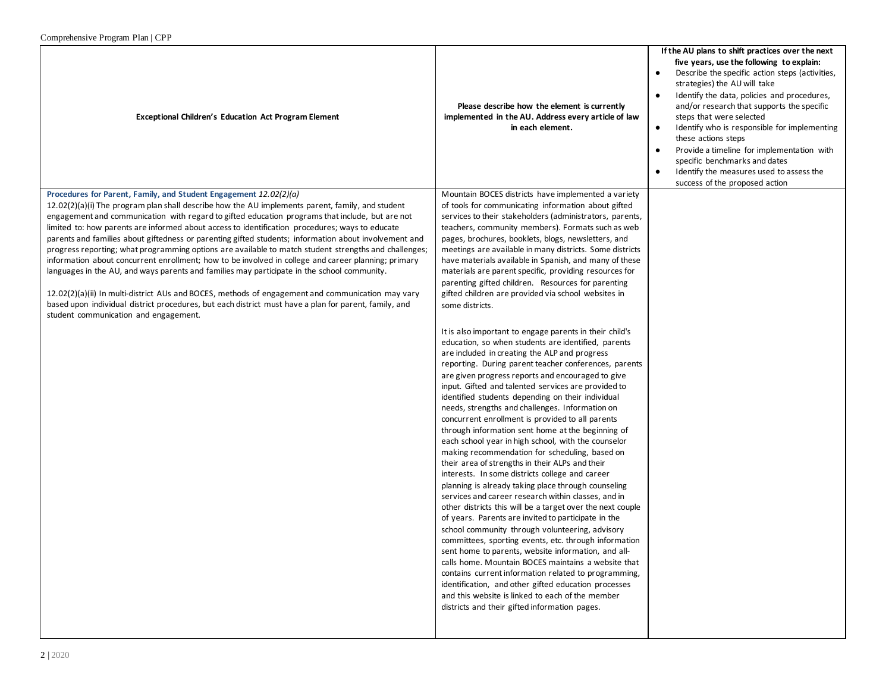| Complemensive Program Plan   CPP                                                                                                                                                                                                                                                                                                                                                                                                                                                                                                                                                                                                                                                                                                                                                                                                                                                                                                                                                                                                                             |                                                                                                                                                                                                                                                                                                                                                                                                                                                                                                                                                                                                                                                                                                                                                                                                                                                                                                                                                                                                                                                                                                                                                                                                                                                                                                                                                                                                                                                                                                                                                                                                                                                                                                                                                                                                                                                                                                                                                                                                                                                              |                                                                                                                                                                                                                                                                                                                                                                                                                                                                                                                                                                                           |
|--------------------------------------------------------------------------------------------------------------------------------------------------------------------------------------------------------------------------------------------------------------------------------------------------------------------------------------------------------------------------------------------------------------------------------------------------------------------------------------------------------------------------------------------------------------------------------------------------------------------------------------------------------------------------------------------------------------------------------------------------------------------------------------------------------------------------------------------------------------------------------------------------------------------------------------------------------------------------------------------------------------------------------------------------------------|--------------------------------------------------------------------------------------------------------------------------------------------------------------------------------------------------------------------------------------------------------------------------------------------------------------------------------------------------------------------------------------------------------------------------------------------------------------------------------------------------------------------------------------------------------------------------------------------------------------------------------------------------------------------------------------------------------------------------------------------------------------------------------------------------------------------------------------------------------------------------------------------------------------------------------------------------------------------------------------------------------------------------------------------------------------------------------------------------------------------------------------------------------------------------------------------------------------------------------------------------------------------------------------------------------------------------------------------------------------------------------------------------------------------------------------------------------------------------------------------------------------------------------------------------------------------------------------------------------------------------------------------------------------------------------------------------------------------------------------------------------------------------------------------------------------------------------------------------------------------------------------------------------------------------------------------------------------------------------------------------------------------------------------------------------------|-------------------------------------------------------------------------------------------------------------------------------------------------------------------------------------------------------------------------------------------------------------------------------------------------------------------------------------------------------------------------------------------------------------------------------------------------------------------------------------------------------------------------------------------------------------------------------------------|
| <b>Exceptional Children's Education Act Program Element</b>                                                                                                                                                                                                                                                                                                                                                                                                                                                                                                                                                                                                                                                                                                                                                                                                                                                                                                                                                                                                  | Please describe how the element is currently<br>implemented in the AU. Address every article of law<br>in each element.                                                                                                                                                                                                                                                                                                                                                                                                                                                                                                                                                                                                                                                                                                                                                                                                                                                                                                                                                                                                                                                                                                                                                                                                                                                                                                                                                                                                                                                                                                                                                                                                                                                                                                                                                                                                                                                                                                                                      | If the AU plans to shift practices over the next<br>five years, use the following to explain:<br>Describe the specific action steps (activities,<br>٠<br>strategies) the AU will take<br>Identify the data, policies and procedures,<br>$\bullet$<br>and/or research that supports the specific<br>steps that were selected<br>Identify who is responsible for implementing<br>$\bullet$<br>these actions steps<br>Provide a timeline for implementation with<br>$\bullet$<br>specific benchmarks and dates<br>Identify the measures used to assess the<br>success of the proposed action |
| Procedures for Parent, Family, and Student Engagement 12.02(2)(a)<br>$12.02(2)(a)(i)$ The program plan shall describe how the AU implements parent, family, and student<br>engagement and communication with regard to gifted education programs that include, but are not<br>limited to: how parents are informed about access to identification procedures; ways to educate<br>parents and families about giftedness or parenting gifted students; information about involvement and<br>progress reporting; what programming options are available to match student strengths and challenges;<br>information about concurrent enrollment; how to be involved in college and career planning; primary<br>languages in the AU, and ways parents and families may participate in the school community.<br>12.02(2)(a)(ii) In multi-district AUs and BOCES, methods of engagement and communication may vary<br>based upon individual district procedures, but each district must have a plan for parent, family, and<br>student communication and engagement. | Mountain BOCES districts have implemented a variety<br>of tools for communicating information about gifted<br>services to their stakeholders (administrators, parents,<br>teachers, community members). Formats such as web<br>pages, brochures, booklets, blogs, newsletters, and<br>meetings are available in many districts. Some districts<br>have materials available in Spanish, and many of these<br>materials are parent specific, providing resources for<br>parenting gifted children. Resources for parenting<br>gifted children are provided via school websites in<br>some districts.<br>It is also important to engage parents in their child's<br>education, so when students are identified, parents<br>are included in creating the ALP and progress<br>reporting. During parent teacher conferences, parents<br>are given progress reports and encouraged to give<br>input. Gifted and talented services are provided to<br>identified students depending on their individual<br>needs, strengths and challenges. Information on<br>concurrent enrollment is provided to all parents<br>through information sent home at the beginning of<br>each school year in high school, with the counselor<br>making recommendation for scheduling, based on<br>their area of strengths in their ALPs and their<br>interests. In some districts college and career<br>planning is already taking place through counseling<br>services and career research within classes, and in<br>other districts this will be a target over the next couple<br>of years. Parents are invited to participate in the<br>school community through volunteering, advisory<br>committees, sporting events, etc. through information<br>sent home to parents, website information, and all-<br>calls home. Mountain BOCES maintains a website that<br>contains current information related to programming,<br>identification, and other gifted education processes<br>and this website is linked to each of the member<br>districts and their gifted information pages. |                                                                                                                                                                                                                                                                                                                                                                                                                                                                                                                                                                                           |
|                                                                                                                                                                                                                                                                                                                                                                                                                                                                                                                                                                                                                                                                                                                                                                                                                                                                                                                                                                                                                                                              |                                                                                                                                                                                                                                                                                                                                                                                                                                                                                                                                                                                                                                                                                                                                                                                                                                                                                                                                                                                                                                                                                                                                                                                                                                                                                                                                                                                                                                                                                                                                                                                                                                                                                                                                                                                                                                                                                                                                                                                                                                                              |                                                                                                                                                                                                                                                                                                                                                                                                                                                                                                                                                                                           |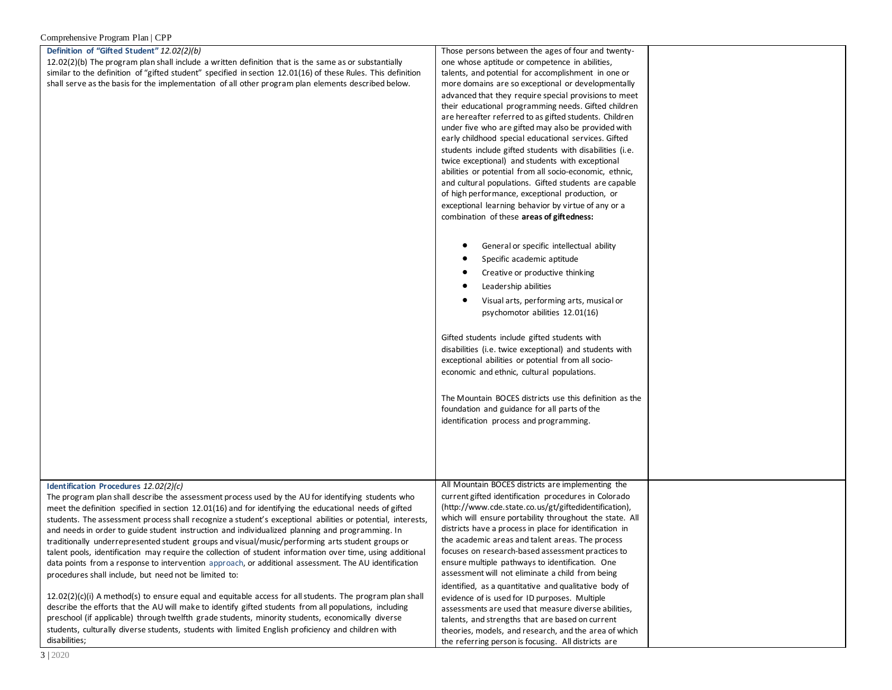#### **Definition of "Gifted Student"** *12.02(2)(b)*

12.02(2)(b) The program plan shall include a written definition that is the same as or substantially similar to the definition of "gifted student" specified in section 12.01(16) of these Rules. This definition shall serve as the basis for the implementation of all other program plan elements described below.

Those persons between the ages of four and twentyone whose aptitude or competence in abilities, talents, and potential for accomplishment in one or more domains are so exceptional or developmentally advanced that they require special provisions to meet their educational programming needs. Gifted children are hereafter referred to as gifted students. Children under five who are gifted may also be provided with early childhood special educational services. Gifted students include gifted students with disabilities (i.e. twice exceptional) and students with exceptional abilities or potential from all socio-economic, ethnic, and cultural populations. Gifted students are capable of high performance, exceptional production, or exceptional learning behavior by virtue of any or a combination of these **areas of giftedness:**

- General or specific intellectual ability
- Specific academic aptitude
- Creative or productive thinking
- Leadership abilities
- Visual arts, performing arts, musical or psychomotor abilities 12.01(16)

Gifted students include gifted students with disabilities (i.e. twice exceptional) and students with exceptional abilities or potential from all socioeconomic and ethnic, cultural populations.

The Mountain BOCES districts use this definition as the foundation and guidance for all parts of the identification process and programming.

| Identification Procedures 12.02(2)(c)                    |  |
|----------------------------------------------------------|--|
| 天地 지수는 지수가 있는 것이 아니라 지수는 어디에 대해서 사람들이 어디에 대해서 그 사람들이 있다. |  |

The program plan shall describe the assessment process used by the AU for identifying students who meet the definition specified in section 12.01(16) and for identifying the educational needs of gifted students. The assessment process shall recognize a student's exceptional abilities or potential, interests, and needs in order to guide student instruction and individualized planning and programming. In traditionally underrepresented student groups and visual/music/performing arts student groups or talent pools, identification may require the collection of student information over time, using additional data points from a response to intervention approach, or additional assessment. The AU identification procedures shall include, but need not be limited to:

 $12.02(2)(c)(i)$  A method(s) to ensure equal and equitable access for all students. The program plan shall describe the efforts that the AU will make to identify gifted students from all populations, including preschool (if applicable) through twelfth grade students, minority students, economically diverse students, culturally diverse students, students with limited English proficiency and children with disabilities;

All Mountain BOCES districts are implementing the current gifted identification procedures in Colorado (http://www.cde.state.co.us/gt/giftedidentification), which will ensure portability throughout the state. All districts have a process in place for identification in the academic areas and talent areas. The process focuses on research-based assessment practices to ensure multiple pathways to identification. One assessment will not eliminate a child from being identified, as a quantitative and qualitative body of evidence of is used for ID purposes. Multiple assessments are used that measure diverse abilities, talents, and strengths that are based on current theories, models, and research, and the area of which

the referring person is focusing. All districts are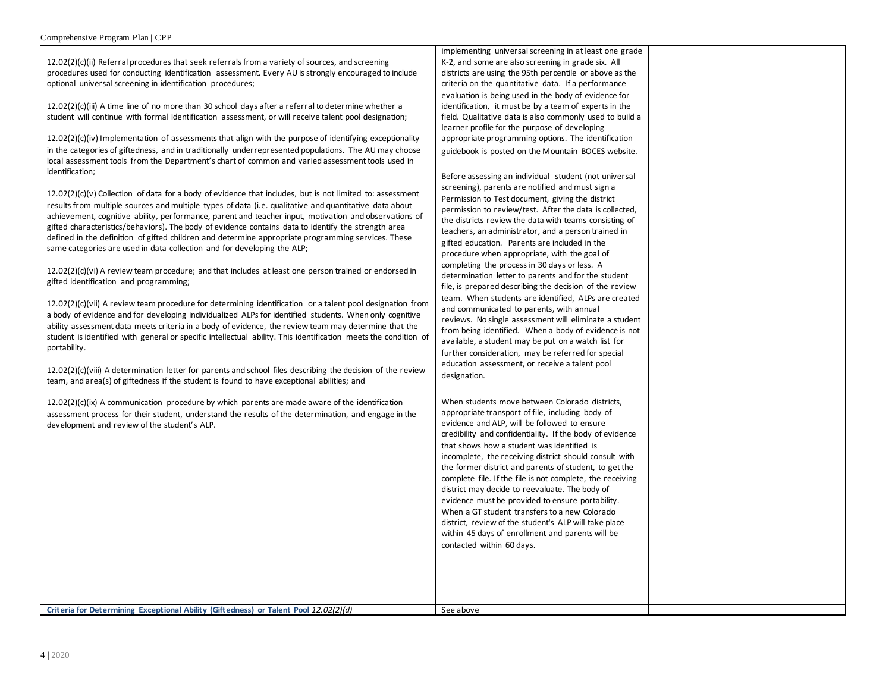12.02(2)(c)(ii) Referral procedures that seek referrals from a variety of sources, and screening procedures used for conducting identification assessment. Every AU is strongly encouraged to include optional universal screening in identification procedures;

12.02(2)(c)(iii) A time line of no more than 30 school days after a referral to determine whether a student will continue with formal identification assessment, or will receive talent pool designation;

12.02(2)(c)(iv) Implementation of assessments that align with the purpose of identifying exceptionality in the categories of giftedness, and in traditionally underrepresented populations. The AU may choose local assessment tools from the Department's chart of common and varied assessment tools used in identification;

 $12.02(2)(c)(v)$  Collection of data for a body of evidence that includes, but is not limited to: assessment results from multiple sources and multiple types of data (i.e. qualitative and quantitative data about achievement, cognitive ability, performance, parent and teacher input, motivation and observations of gifted characteristics/behaviors). The body of evidence contains data to identify the strength area defined in the definition of gifted children and determine appropriate programming services. These same categories are used in data collection and for developing the ALP;

12.02(2)(c)(vi) A review team procedure; and that includes at least one person trained or endorsed in gifted identification and programming;

12.02(2)(c)(vii) A review team procedure for determining identification or a talent pool designation from a body of evidence and for developing individualized ALPs for identified students. When only cognitive ability assessment data meets criteria in a body of evidence, the review team may determine that the student is identified with general or specific intellectual ability. This identification meets the condition of portability.

12.02(2)(c)(viii) A determination letter for parents and school files describing the decision of the review team, and area(s) of giftedness if the student is found to have exceptional abilities; and

 $12.02(2)(c)(ix)$  A communication procedure by which parents are made aware of the identification assessment process for their student, understand the results of the determination, and engage in the development and review of the student's ALP.

implementing universal screening in at least one grade K-2, and some are also screening in grade six. All districts are using the 95th percentile or above as the criteria on the quantitative data. If a performance evaluation is being used in the body of evidence for identification, it must be by a team of experts in the field. Qualitative data is also commonly used to build a learner profile for the purpose of developing appropriate programming options. The identification guidebook is posted on the Mountain BOCES website.

Before assessing an individual student (not universal screening), parents are notified and must sign a Permission to Test document, giving the district permission to review/test. After the data is collected, the districts review the data with teams consisting of teachers, an administrator, and a person trained in gifted education. Parents are included in the procedure when appropriate, with the goal of completing the process in 30 days or less. A determination letter to parents and for the student file, is prepared describing the decision of the review team. When students are identified, ALPs are created and communicated to parents, with annual reviews. No single assessment will eliminate a student from being identified. When a body of evidence is not available, a student may be put on a watch list for further consideration, may be referred for special education assessment, or receive a talent pool designation.

When students move between Colorado districts, appropriate transport of file, including body of evidence and ALP, will be followed to ensure credibility and confidentiality. If the body of evidence that shows how a student was identified is incomplete, the receiving district should consult with the former district and parents of student, to get the complete file. If the file is not complete, the receiving district may decide to reevaluate. The body of evidence must be provided to ensure portability. When a GT student transfers to a new Colorado district, review of the student's ALP will take place within 45 days of enrollment and parents will be contacted within 60 days.

**Criteria for Determining Exceptional Ability (Giftedness) or Talent Pool 12.02(2)(d)** See above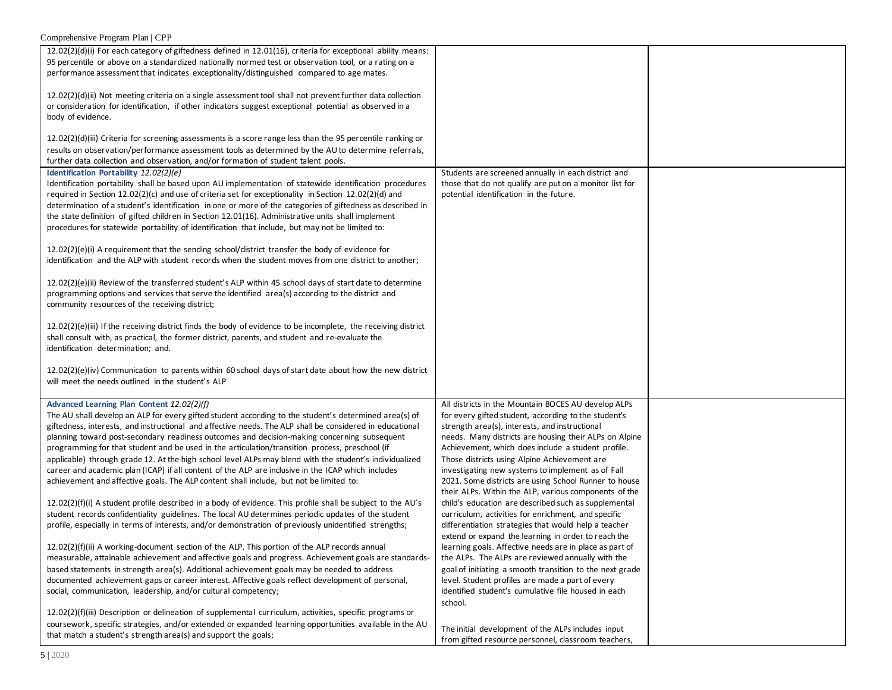| $12.02(2)(d)(i)$ For each category of giftedness defined in 12.01(16), criteria for exceptional ability means:   |                                                                                                           |  |
|------------------------------------------------------------------------------------------------------------------|-----------------------------------------------------------------------------------------------------------|--|
| 95 percentile or above on a standardized nationally normed test or observation tool, or a rating on a            |                                                                                                           |  |
| performance assessment that indicates exceptionality/distinguished compared to age mates.                        |                                                                                                           |  |
|                                                                                                                  |                                                                                                           |  |
| 12.02(2)(d)(ii) Not meeting criteria on a single assessment tool shall not prevent further data collection       |                                                                                                           |  |
|                                                                                                                  |                                                                                                           |  |
| or consideration for identification, if other indicators suggest exceptional potential as observed in a          |                                                                                                           |  |
| body of evidence.                                                                                                |                                                                                                           |  |
|                                                                                                                  |                                                                                                           |  |
| $12.02(2)(d)(iii)$ Criteria for screening assessments is a score range less than the 95 percentile ranking or    |                                                                                                           |  |
|                                                                                                                  |                                                                                                           |  |
| results on observation/performance assessment tools as determined by the AU to determine referrals,              |                                                                                                           |  |
| further data collection and observation, and/or formation of student talent pools.                               |                                                                                                           |  |
| Identification Portability 12.02(2)(e)                                                                           | Students are screened annually in each district and                                                       |  |
| Identification portability shall be based upon AU implementation of statewide identification procedures          | those that do not qualify are put on a monitor list for                                                   |  |
| required in Section 12.02(2)(c) and use of criteria set for exceptionality in Section 12.02(2)(d) and            | potential identification in the future.                                                                   |  |
|                                                                                                                  |                                                                                                           |  |
| determination of a student's identification in one or more of the categories of giftedness as described in       |                                                                                                           |  |
| the state definition of gifted children in Section 12.01(16). Administrative units shall implement               |                                                                                                           |  |
| procedures for statewide portability of identification that include, but may not be limited to:                  |                                                                                                           |  |
|                                                                                                                  |                                                                                                           |  |
|                                                                                                                  |                                                                                                           |  |
| $12.02(2)(e)(i)$ A requirement that the sending school/district transfer the body of evidence for                |                                                                                                           |  |
| identification and the ALP with student records when the student moves from one district to another;             |                                                                                                           |  |
|                                                                                                                  |                                                                                                           |  |
| $12.02(2)(e)(ii)$ Review of the transferred student's ALP within 45 school days of start date to determine       |                                                                                                           |  |
| programming options and services that serve the identified area(s) according to the district and                 |                                                                                                           |  |
|                                                                                                                  |                                                                                                           |  |
| community resources of the receiving district;                                                                   |                                                                                                           |  |
|                                                                                                                  |                                                                                                           |  |
| $12.02(2)(e)(iii)$ If the receiving district finds the body of evidence to be incomplete, the receiving district |                                                                                                           |  |
| shall consult with, as practical, the former district, parents, and student and re-evaluate the                  |                                                                                                           |  |
| identification determination; and.                                                                               |                                                                                                           |  |
|                                                                                                                  |                                                                                                           |  |
|                                                                                                                  |                                                                                                           |  |
| $12.02(2)(e)(iv)$ Communication to parents within 60 school days of start date about how the new district        |                                                                                                           |  |
| will meet the needs outlined in the student's ALP                                                                |                                                                                                           |  |
|                                                                                                                  |                                                                                                           |  |
| Advanced Learning Plan Content 12.02(2)(f)                                                                       | All districts in the Mountain BOCES AU develop ALPs                                                       |  |
|                                                                                                                  |                                                                                                           |  |
| The AU shall develop an ALP for every gifted student according to the student's determined area(s) of            | for every gifted student, according to the student's                                                      |  |
| giftedness, interests, and instructional and affective needs. The ALP shall be considered in educational         |                                                                                                           |  |
|                                                                                                                  | strength area(s), interests, and instructional                                                            |  |
|                                                                                                                  |                                                                                                           |  |
| planning toward post-secondary readiness outcomes and decision-making concerning subsequent                      | needs. Many districts are housing their ALPs on Alpine                                                    |  |
| programming for that student and be used in the articulation/transition process, preschool (if                   | Achievement, which does include a student profile.                                                        |  |
| applicable) through grade 12. At the high school level ALPs may blend with the student's individualized          | Those districts using Alpine Achievement are                                                              |  |
| career and academic plan (ICAP) if all content of the ALP are inclusive in the ICAP which includes               | investigating new systems to implement as of Fall                                                         |  |
| achievement and affective goals. The ALP content shall include, but not be limited to:                           | 2021. Some districts are using School Runner to house                                                     |  |
|                                                                                                                  | their ALPs. Within the ALP, various components of the                                                     |  |
|                                                                                                                  |                                                                                                           |  |
| $12.02(2)(f)(i)$ A student profile described in a body of evidence. This profile shall be subject to the AU's    | child's education are described such as supplemental                                                      |  |
| student records confidentiality guidelines. The local AU determines periodic updates of the student              | curriculum, activities for enrichment, and specific                                                       |  |
| profile, especially in terms of interests, and/or demonstration of previously unidentified strengths;            | differentiation strategies that would help a teacher                                                      |  |
|                                                                                                                  | extend or expand the learning in order to reach the                                                       |  |
|                                                                                                                  |                                                                                                           |  |
| 12.02(2)(f)(ii) A working-document section of the ALP. This portion of the ALP records annual                    | learning goals. Affective needs are in place as part of                                                   |  |
| measurable, attainable achievement and affective goals and progress. Achievement goals are standards-            | the ALPs. The ALPs are reviewed annually with the                                                         |  |
| based statements in strength area(s). Additional achievement goals may be needed to address                      | goal of initiating a smooth transition to the next grade                                                  |  |
| documented achievement gaps or career interest. Affective goals reflect development of personal,                 | level. Student profiles are made a part of every                                                          |  |
| social, communication, leadership, and/or cultural competency;                                                   | identified student's cumulative file housed in each                                                       |  |
|                                                                                                                  |                                                                                                           |  |
|                                                                                                                  | school.                                                                                                   |  |
| $12.02(2)(f)(iii)$ Description or delineation of supplemental curriculum, activities, specific programs or       |                                                                                                           |  |
| coursework, specific strategies, and/or extended or expanded learning opportunities available in the AU          |                                                                                                           |  |
| that match a student's strength area(s) and support the goals;                                                   | The initial development of the ALPs includes input<br>from gifted resource personnel, classroom teachers, |  |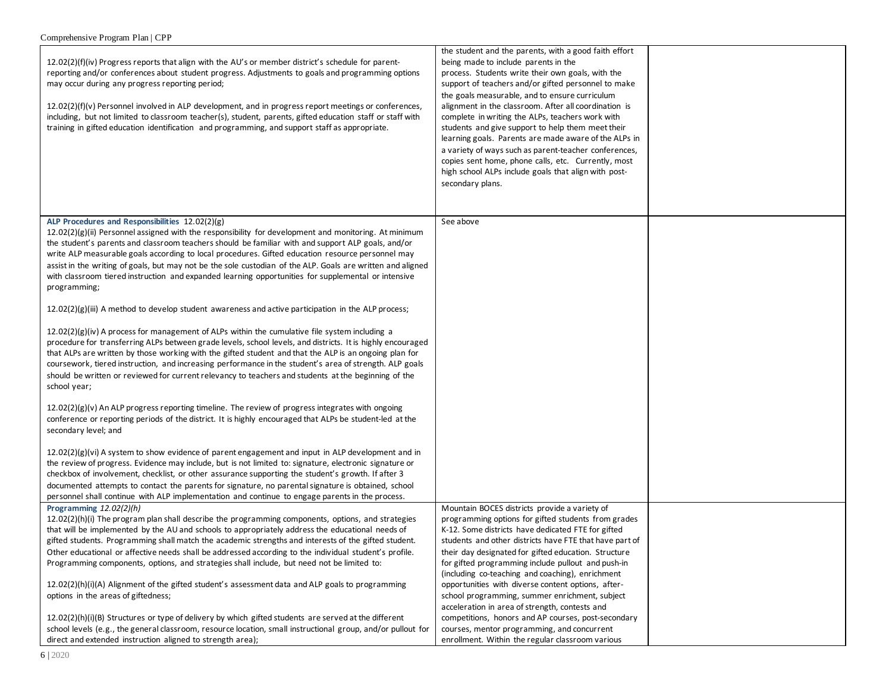| $12.02(2)(f)(iv)$ Progress reports that align with the AU's or member district's schedule for parent-<br>reporting and/or conferences about student progress. Adjustments to goals and programming options<br>may occur during any progress reporting period;<br>12.02(2)(f)(v) Personnel involved in ALP development, and in progress report meetings or conferences,<br>including, but not limited to classroom teacher(s), student, parents, gifted education staff or staff with<br>training in gifted education identification and programming, and support staff as appropriate. | the student and the parents, with a good faith effort<br>being made to include parents in the<br>process. Students write their own goals, with the<br>support of teachers and/or gifted personnel to make<br>the goals measurable, and to ensure curriculum<br>alignment in the classroom. After all coordination is<br>complete in writing the ALPs, teachers work with<br>students and give support to help them meet their<br>learning goals. Parents are made aware of the ALPs in<br>a variety of ways such as parent-teacher conferences,<br>copies sent home, phone calls, etc. Currently, most<br>high school ALPs include goals that align with post-<br>secondary plans. |  |
|----------------------------------------------------------------------------------------------------------------------------------------------------------------------------------------------------------------------------------------------------------------------------------------------------------------------------------------------------------------------------------------------------------------------------------------------------------------------------------------------------------------------------------------------------------------------------------------|------------------------------------------------------------------------------------------------------------------------------------------------------------------------------------------------------------------------------------------------------------------------------------------------------------------------------------------------------------------------------------------------------------------------------------------------------------------------------------------------------------------------------------------------------------------------------------------------------------------------------------------------------------------------------------|--|
| ALP Procedures and Responsibilities 12.02(2)(g)<br>12.02(2)(g)(ii) Personnel assigned with the responsibility for development and monitoring. At minimum                                                                                                                                                                                                                                                                                                                                                                                                                               | See above                                                                                                                                                                                                                                                                                                                                                                                                                                                                                                                                                                                                                                                                          |  |
| the student's parents and classroom teachers should be familiar with and support ALP goals, and/or                                                                                                                                                                                                                                                                                                                                                                                                                                                                                     |                                                                                                                                                                                                                                                                                                                                                                                                                                                                                                                                                                                                                                                                                    |  |
| write ALP measurable goals according to local procedures. Gifted education resource personnel may                                                                                                                                                                                                                                                                                                                                                                                                                                                                                      |                                                                                                                                                                                                                                                                                                                                                                                                                                                                                                                                                                                                                                                                                    |  |
| assist in the writing of goals, but may not be the sole custodian of the ALP. Goals are written and aligned                                                                                                                                                                                                                                                                                                                                                                                                                                                                            |                                                                                                                                                                                                                                                                                                                                                                                                                                                                                                                                                                                                                                                                                    |  |
| with classroom tiered instruction and expanded learning opportunities for supplemental or intensive<br>programming;                                                                                                                                                                                                                                                                                                                                                                                                                                                                    |                                                                                                                                                                                                                                                                                                                                                                                                                                                                                                                                                                                                                                                                                    |  |
|                                                                                                                                                                                                                                                                                                                                                                                                                                                                                                                                                                                        |                                                                                                                                                                                                                                                                                                                                                                                                                                                                                                                                                                                                                                                                                    |  |
| $12.02(2)(g)(iii)$ A method to develop student awareness and active participation in the ALP process;                                                                                                                                                                                                                                                                                                                                                                                                                                                                                  |                                                                                                                                                                                                                                                                                                                                                                                                                                                                                                                                                                                                                                                                                    |  |
| $12.02(2)(g)(iv)$ A process for management of ALPs within the cumulative file system including a<br>procedure for transferring ALPs between grade levels, school levels, and districts. It is highly encouraged<br>that ALPs are written by those working with the gifted student and that the ALP is an ongoing plan for<br>coursework, tiered instruction, and increasing performance in the student's area of strength. ALP goals<br>should be written or reviewed for current relevancy to teachers and students at the beginning of the<br>school year;                           |                                                                                                                                                                                                                                                                                                                                                                                                                                                                                                                                                                                                                                                                                    |  |
| $12.02(2)(g)(v)$ An ALP progress reporting timeline. The review of progress integrates with ongoing<br>conference or reporting periods of the district. It is highly encouraged that ALPs be student-led at the<br>secondary level; and                                                                                                                                                                                                                                                                                                                                                |                                                                                                                                                                                                                                                                                                                                                                                                                                                                                                                                                                                                                                                                                    |  |
| $12.02(2)(g)(vi)$ A system to show evidence of parent engagement and input in ALP development and in<br>the review of progress. Evidence may include, but is not limited to: signature, electronic signature or<br>checkbox of involvement, checklist, or other assurance supporting the student's growth. If after 3<br>documented attempts to contact the parents for signature, no parental signature is obtained, school<br>personnel shall continue with ALP implementation and continue to engage parents in the process.                                                        |                                                                                                                                                                                                                                                                                                                                                                                                                                                                                                                                                                                                                                                                                    |  |
| Programming $12.02(2)(h)$                                                                                                                                                                                                                                                                                                                                                                                                                                                                                                                                                              | Mountain BOCES districts provide a variety of                                                                                                                                                                                                                                                                                                                                                                                                                                                                                                                                                                                                                                      |  |
| $12.02(2)(h)(i)$ The program plan shall describe the programming components, options, and strategies                                                                                                                                                                                                                                                                                                                                                                                                                                                                                   | programming options for gifted students from grades                                                                                                                                                                                                                                                                                                                                                                                                                                                                                                                                                                                                                                |  |
| that will be implemented by the AU and schools to appropriately address the educational needs of                                                                                                                                                                                                                                                                                                                                                                                                                                                                                       | K-12. Some districts have dedicated FTE for gifted                                                                                                                                                                                                                                                                                                                                                                                                                                                                                                                                                                                                                                 |  |
| gifted students. Programming shall match the academic strengths and interests of the gifted student.                                                                                                                                                                                                                                                                                                                                                                                                                                                                                   | students and other districts have FTE that have part of                                                                                                                                                                                                                                                                                                                                                                                                                                                                                                                                                                                                                            |  |
| Other educational or affective needs shall be addressed according to the individual student's profile.                                                                                                                                                                                                                                                                                                                                                                                                                                                                                 | their day designated for gifted education. Structure                                                                                                                                                                                                                                                                                                                                                                                                                                                                                                                                                                                                                               |  |
| Programming components, options, and strategies shall include, but need not be limited to:                                                                                                                                                                                                                                                                                                                                                                                                                                                                                             | for gifted programming include pullout and push-in                                                                                                                                                                                                                                                                                                                                                                                                                                                                                                                                                                                                                                 |  |
| 12.02(2)(h)(i)(A) Alignment of the gifted student's assessment data and ALP goals to programming                                                                                                                                                                                                                                                                                                                                                                                                                                                                                       | (including co-teaching and coaching), enrichment<br>opportunities with diverse content options, after-                                                                                                                                                                                                                                                                                                                                                                                                                                                                                                                                                                             |  |
| options in the areas of giftedness;                                                                                                                                                                                                                                                                                                                                                                                                                                                                                                                                                    | school programming, summer enrichment, subject                                                                                                                                                                                                                                                                                                                                                                                                                                                                                                                                                                                                                                     |  |
|                                                                                                                                                                                                                                                                                                                                                                                                                                                                                                                                                                                        | acceleration in area of strength, contests and                                                                                                                                                                                                                                                                                                                                                                                                                                                                                                                                                                                                                                     |  |
| $12.02(2)(h)(i)(B)$ Structures or type of delivery by which gifted students are served at the different                                                                                                                                                                                                                                                                                                                                                                                                                                                                                | competitions, honors and AP courses, post-secondary                                                                                                                                                                                                                                                                                                                                                                                                                                                                                                                                                                                                                                |  |
| school levels (e.g., the general classroom, resource location, small instructional group, and/or pullout for                                                                                                                                                                                                                                                                                                                                                                                                                                                                           | courses, mentor programming, and concurrent                                                                                                                                                                                                                                                                                                                                                                                                                                                                                                                                                                                                                                        |  |
| direct and extended instruction aligned to strength area);                                                                                                                                                                                                                                                                                                                                                                                                                                                                                                                             | enrollment. Within the regular classroom various                                                                                                                                                                                                                                                                                                                                                                                                                                                                                                                                                                                                                                   |  |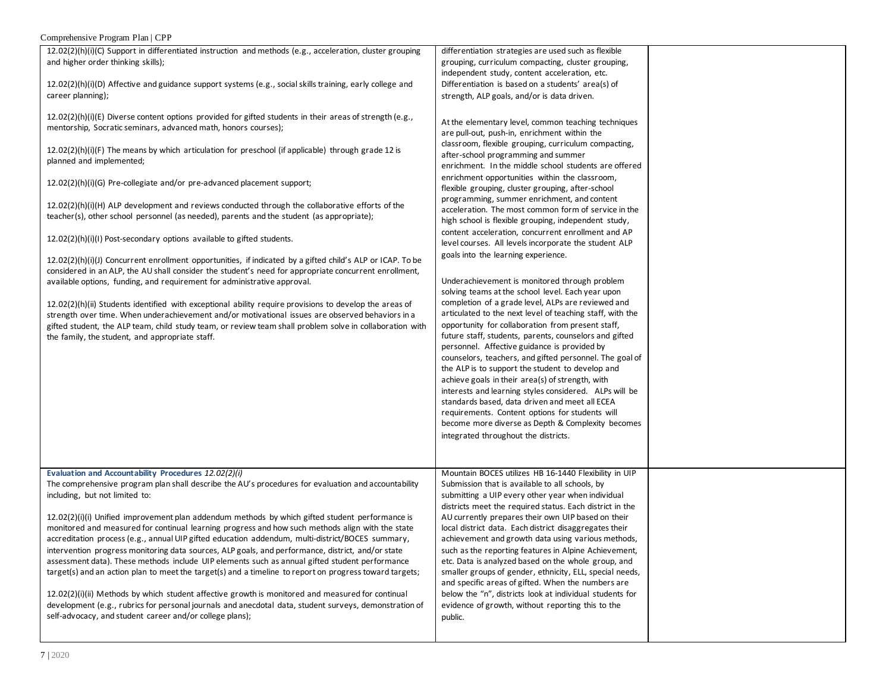## Comprehensive Program Plan | CPP

| 12.02(2)(h)(i)(C) Support in differentiated instruction and methods (e.g., acceleration, cluster grouping  | differentiation strategies are used such as flexible      |  |
|------------------------------------------------------------------------------------------------------------|-----------------------------------------------------------|--|
| and higher order thinking skills);                                                                         | grouping, curriculum compacting, cluster grouping,        |  |
|                                                                                                            | independent study, content acceleration, etc.             |  |
| 12.02(2)(h)(i)(D) Affective and guidance support systems (e.g., social skills training, early college and  | Differentiation is based on a students' area(s) of        |  |
| career planning);                                                                                          | strength, ALP goals, and/or is data driven.               |  |
|                                                                                                            |                                                           |  |
|                                                                                                            |                                                           |  |
| $12.02(2)(h)(i)(E)$ Diverse content options provided for gifted students in their areas of strength (e.g., | At the elementary level, common teaching techniques       |  |
| mentorship, Socratic seminars, advanced math, honors courses);                                             | are pull-out, push-in, enrichment within the              |  |
|                                                                                                            | classroom, flexible grouping, curriculum compacting,      |  |
| 12.02(2)(h)(i)(F) The means by which articulation for preschool (if applicable) through grade 12 is        | after-school programming and summer                       |  |
| planned and implemented;                                                                                   | enrichment. In the middle school students are offered     |  |
|                                                                                                            |                                                           |  |
| 12.02(2)(h)(i)(G) Pre-collegiate and/or pre-advanced placement support;                                    | enrichment opportunities within the classroom,            |  |
|                                                                                                            | flexible grouping, cluster grouping, after-school         |  |
|                                                                                                            | programming, summer enrichment, and content               |  |
| 12.02(2)(h)(i)(H) ALP development and reviews conducted through the collaborative efforts of the           | acceleration. The most common form of service in the      |  |
| teacher(s), other school personnel (as needed), parents and the student (as appropriate);                  | high school is flexible grouping, independent study,      |  |
|                                                                                                            | content acceleration, concurrent enrollment and AP        |  |
| $12.02(2)(h)(i)(l)$ Post-secondary options available to gifted students.                                   | level courses. All levels incorporate the student ALP     |  |
|                                                                                                            |                                                           |  |
| 12.02(2)(h)(i)(J) Concurrent enrollment opportunities, if indicated by a gifted child's ALP or ICAP. To be | goals into the learning experience.                       |  |
| considered in an ALP, the AU shall consider the student's need for appropriate concurrent enrollment,      |                                                           |  |
| available options, funding, and requirement for administrative approval.                                   | Underachievement is monitored through problem             |  |
|                                                                                                            | solving teams at the school level. Each year upon         |  |
|                                                                                                            | completion of a grade level, ALPs are reviewed and        |  |
| 12.02(2)(h)(ii) Students identified with exceptional ability require provisions to develop the areas of    |                                                           |  |
| strength over time. When underachievement and/or motivational issues are observed behaviors in a           | articulated to the next level of teaching staff, with the |  |
| gifted student, the ALP team, child study team, or review team shall problem solve in collaboration with   | opportunity for collaboration from present staff,         |  |
| the family, the student, and appropriate staff.                                                            | future staff, students, parents, counselors and gifted    |  |
|                                                                                                            | personnel. Affective guidance is provided by              |  |
|                                                                                                            | counselors, teachers, and gifted personnel. The goal of   |  |
|                                                                                                            | the ALP is to support the student to develop and          |  |
|                                                                                                            | achieve goals in their area(s) of strength, with          |  |
|                                                                                                            | interests and learning styles considered. ALPs will be    |  |
|                                                                                                            |                                                           |  |
|                                                                                                            | standards based, data driven and meet all ECEA            |  |
|                                                                                                            | requirements. Content options for students will           |  |
|                                                                                                            | become more diverse as Depth & Complexity becomes         |  |
|                                                                                                            | integrated throughout the districts.                      |  |
|                                                                                                            |                                                           |  |
|                                                                                                            |                                                           |  |
|                                                                                                            |                                                           |  |
| Evaluation and Accountability Procedures 12.02(2)(i)                                                       | Mountain BOCES utilizes HB 16-1440 Flexibility in UIP     |  |
| The comprehensive program plan shall describe the AU's procedures for evaluation and accountability        | Submission that is available to all schools, by           |  |
| including, but not limited to:                                                                             | submitting a UIP every other year when individual         |  |
|                                                                                                            | districts meet the required status. Each district in the  |  |
| $12.02(2)(i)(i)$ Unified improvement plan addendum methods by which gifted student performance is          | AU currently prepares their own UIP based on their        |  |
| monitored and measured for continual learning progress and how such methods align with the state           | local district data. Each district disaggregates their    |  |
| accreditation process (e.g., annual UIP gifted education addendum, multi-district/BOCES summary,           | achievement and growth data using various methods,        |  |
| intervention progress monitoring data sources, ALP goals, and performance, district, and/or state          | such as the reporting features in Alpine Achievement,     |  |
|                                                                                                            | etc. Data is analyzed based on the whole group, and       |  |
| assessment data). These methods include UIP elements such as annual gifted student performance             |                                                           |  |
| target(s) and an action plan to meet the target(s) and a timeline to report on progress toward targets;    | smaller groups of gender, ethnicity, ELL, special needs,  |  |
|                                                                                                            | and specific areas of gifted. When the numbers are        |  |
| $12.02(2)(i)(ii)$ Methods by which student affective growth is monitored and measured for continual        | below the "n", districts look at individual students for  |  |
| development (e.g., rubrics for personal journals and anecdotal data, student surveys, demonstration of     | evidence of growth, without reporting this to the         |  |
| self-advocacy, and student career and/or college plans);                                                   |                                                           |  |
|                                                                                                            | public.                                                   |  |
|                                                                                                            |                                                           |  |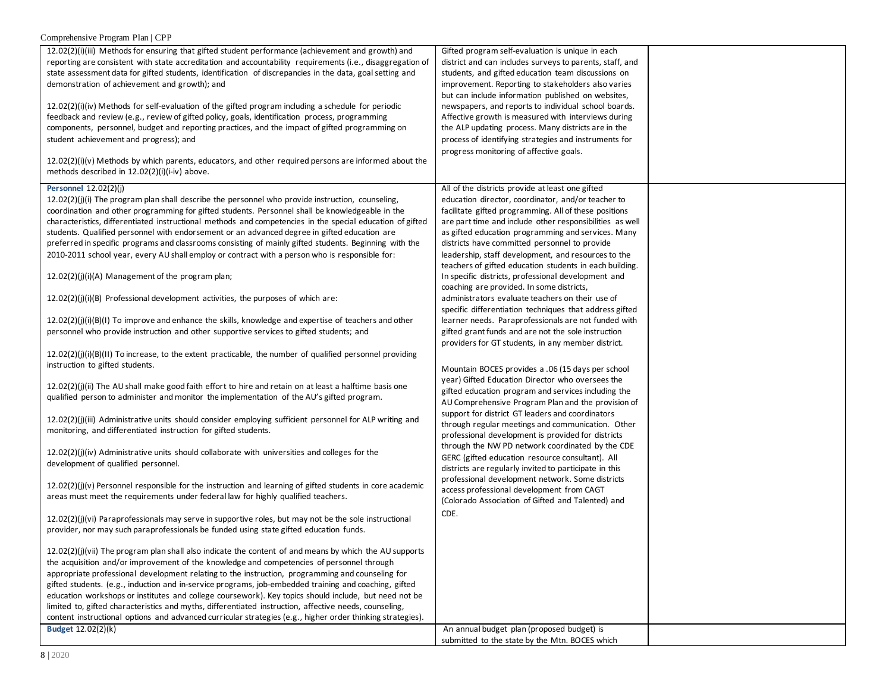# Comprehensive Program Plan | CPP

| 12.02(2)(i)(iii) Methods for ensuring that gifted student performance (achievement and growth) and          | Gifted program self-evaluation is unique in each         |  |
|-------------------------------------------------------------------------------------------------------------|----------------------------------------------------------|--|
| reporting are consistent with state accreditation and accountability requirements (i.e., disaggregation of  | district and can includes surveys to parents, staff, and |  |
| state assessment data for gifted students, identification of discrepancies in the data, goal setting and    | students, and gifted education team discussions on       |  |
| demonstration of achievement and growth); and                                                               |                                                          |  |
|                                                                                                             | improvement. Reporting to stakeholders also varies       |  |
|                                                                                                             | but can include information published on websites,       |  |
| $12.02(2)(i)(iv)$ Methods for self-evaluation of the gifted program including a schedule for periodic       | newspapers, and reports to individual school boards.     |  |
| feedback and review (e.g., review of gifted policy, goals, identification process, programming              | Affective growth is measured with interviews during      |  |
| components, personnel, budget and reporting practices, and the impact of gifted programming on              | the ALP updating process. Many districts are in the      |  |
|                                                                                                             |                                                          |  |
| student achievement and progress); and                                                                      | process of identifying strategies and instruments for    |  |
|                                                                                                             | progress monitoring of affective goals.                  |  |
| $12.02(2)(i)(v)$ Methods by which parents, educators, and other required persons are informed about the     |                                                          |  |
| methods described in 12.02(2)(i)(i-iv) above.                                                               |                                                          |  |
|                                                                                                             |                                                          |  |
| Personnel 12.02(2)(j)                                                                                       | All of the districts provide at least one gifted         |  |
|                                                                                                             | education director, coordinator, and/or teacher to       |  |
| $12.02(2)(j)(i)$ The program plan shall describe the personnel who provide instruction, counseling,         |                                                          |  |
| coordination and other programming for gifted students. Personnel shall be knowledgeable in the             | facilitate gifted programming. All of these positions    |  |
| characteristics, differentiated instructional methods and competencies in the special education of gifted   | are part time and include other responsibilities as well |  |
| students. Qualified personnel with endorsement or an advanced degree in gifted education are                | as gifted education programming and services. Many       |  |
| preferred in specific programs and classrooms consisting of mainly gifted students. Beginning with the      | districts have committed personnel to provide            |  |
|                                                                                                             |                                                          |  |
| 2010-2011 school year, every AU shall employ or contract with a person who is responsible for:              | leadership, staff development, and resources to the      |  |
|                                                                                                             | teachers of gifted education students in each building.  |  |
| 12.02(2)(j)(i)(A) Management of the program plan;                                                           | In specific districts, professional development and      |  |
|                                                                                                             | coaching are provided. In some districts,                |  |
|                                                                                                             |                                                          |  |
| 12.02(2)(j)(i)(B) Professional development activities, the purposes of which are:                           | administrators evaluate teachers on their use of         |  |
|                                                                                                             | specific differentiation techniques that address gifted  |  |
| $12.02(2)(j)(i)(B)(I)$ To improve and enhance the skills, knowledge and expertise of teachers and other     | learner needs. Paraprofessionals are not funded with     |  |
| personnel who provide instruction and other supportive services to gifted students; and                     | gifted grant funds and are not the sole instruction      |  |
|                                                                                                             |                                                          |  |
|                                                                                                             | providers for GT students, in any member district.       |  |
| $12.02(2)(j)(i)(B)(11)$ To increase, to the extent practicable, the number of qualified personnel providing |                                                          |  |
| instruction to gifted students.                                                                             | Mountain BOCES provides a .06 (15 days per school        |  |
|                                                                                                             |                                                          |  |
| $12.02(2)(j)(ii)$ The AU shall make good faith effort to hire and retain on at least a halftime basis one   | year) Gifted Education Director who oversees the         |  |
| qualified person to administer and monitor the implementation of the AU's gifted program.                   | gifted education program and services including the      |  |
|                                                                                                             | AU Comprehensive Program Plan and the provision of       |  |
|                                                                                                             | support for district GT leaders and coordinators         |  |
| 12.02(2)(j)(iii) Administrative units should consider employing sufficient personnel for ALP writing and    |                                                          |  |
| monitoring, and differentiated instruction for gifted students.                                             | through regular meetings and communication. Other        |  |
|                                                                                                             | professional development is provided for districts       |  |
|                                                                                                             | through the NW PD network coordinated by the CDE         |  |
| $12.02(2)(j)(iv)$ Administrative units should collaborate with universities and colleges for the            | GERC (gifted education resource consultant). All         |  |
| development of qualified personnel.                                                                         | districts are regularly invited to participate in this   |  |
|                                                                                                             | professional development network. Some districts         |  |
| $12.02(2)(j)(v)$ Personnel responsible for the instruction and learning of gifted students in core academic |                                                          |  |
| areas must meet the requirements under federal law for highly qualified teachers.                           | access professional development from CAGT                |  |
|                                                                                                             | (Colorado Association of Gifted and Talented) and        |  |
|                                                                                                             | CDE.                                                     |  |
| 12.02(2)(j)(vi) Paraprofessionals may serve in supportive roles, but may not be the sole instructional      |                                                          |  |
| provider, nor may such paraprofessionals be funded using state gifted education funds.                      |                                                          |  |
|                                                                                                             |                                                          |  |
| 12.02(2)(j)(vii) The program plan shall also indicate the content of and means by which the AU supports     |                                                          |  |
|                                                                                                             |                                                          |  |
| the acquisition and/or improvement of the knowledge and competencies of personnel through                   |                                                          |  |
| appropriate professional development relating to the instruction, programming and counseling for            |                                                          |  |
| gifted students. (e.g., induction and in-service programs, job-embedded training and coaching, gifted       |                                                          |  |
| education workshops or institutes and college coursework). Key topics should include, but need not be       |                                                          |  |
|                                                                                                             |                                                          |  |
| limited to, gifted characteristics and myths, differentiated instruction, affective needs, counseling,      |                                                          |  |
| content instructional options and advanced curricular strategies (e.g., higher order thinking strategies).  |                                                          |  |
| Budget 12.02(2)(k)                                                                                          | An annual budget plan (proposed budget) is               |  |
|                                                                                                             | submitted to the state by the Mtn. BOCES which           |  |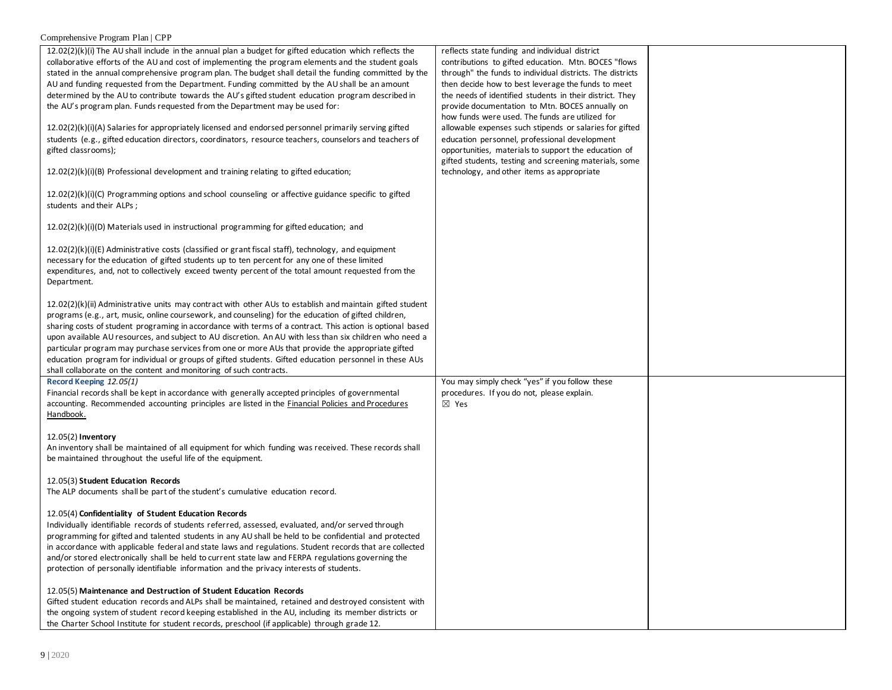# Comprehensive Program Plan | CPP

| $12.02(2)(k)(i)$ The AU shall include in the annual plan a budget for gifted education which reflects the<br>collaborative efforts of the AU and cost of implementing the program elements and the student goals<br>stated in the annual comprehensive program plan. The budget shall detail the funding committed by the<br>AU and funding requested from the Department. Funding committed by the AU shall be an amount<br>determined by the AU to contribute towards the AU's gifted student education program described in<br>the AU's program plan. Funds requested from the Department may be used for:<br>12.02(2)(k)(i)(A) Salaries for appropriately licensed and endorsed personnel primarily serving gifted<br>students (e.g., gifted education directors, coordinators, resource teachers, counselors and teachers of<br>gifted classrooms); | reflects state funding and individual district<br>contributions to gifted education. Mtn. BOCES "flows<br>through" the funds to individual districts. The districts<br>then decide how to best leverage the funds to meet<br>the needs of identified students in their district. They<br>provide documentation to Mtn. BOCES annually on<br>how funds were used. The funds are utilized for<br>allowable expenses such stipends or salaries for gifted<br>education personnel, professional development<br>opportunities, materials to support the education of<br>gifted students, testing and screening materials, some |  |
|----------------------------------------------------------------------------------------------------------------------------------------------------------------------------------------------------------------------------------------------------------------------------------------------------------------------------------------------------------------------------------------------------------------------------------------------------------------------------------------------------------------------------------------------------------------------------------------------------------------------------------------------------------------------------------------------------------------------------------------------------------------------------------------------------------------------------------------------------------|---------------------------------------------------------------------------------------------------------------------------------------------------------------------------------------------------------------------------------------------------------------------------------------------------------------------------------------------------------------------------------------------------------------------------------------------------------------------------------------------------------------------------------------------------------------------------------------------------------------------------|--|
| $12.02(2)(k)(i)(B)$ Professional development and training relating to gifted education;                                                                                                                                                                                                                                                                                                                                                                                                                                                                                                                                                                                                                                                                                                                                                                  | technology, and other items as appropriate                                                                                                                                                                                                                                                                                                                                                                                                                                                                                                                                                                                |  |
| $12.02(2)(k)(i)(C)$ Programming options and school counseling or affective guidance specific to gifted<br>students and their ALPs;                                                                                                                                                                                                                                                                                                                                                                                                                                                                                                                                                                                                                                                                                                                       |                                                                                                                                                                                                                                                                                                                                                                                                                                                                                                                                                                                                                           |  |
| $12.02(2)(k)(i)(D)$ Materials used in instructional programming for gifted education; and                                                                                                                                                                                                                                                                                                                                                                                                                                                                                                                                                                                                                                                                                                                                                                |                                                                                                                                                                                                                                                                                                                                                                                                                                                                                                                                                                                                                           |  |
| $12.02(2)(k)(i)(E)$ Administrative costs (classified or grant fiscal staff), technology, and equipment<br>necessary for the education of gifted students up to ten percent for any one of these limited<br>expenditures, and, not to collectively exceed twenty percent of the total amount requested from the<br>Department.                                                                                                                                                                                                                                                                                                                                                                                                                                                                                                                            |                                                                                                                                                                                                                                                                                                                                                                                                                                                                                                                                                                                                                           |  |
| $12.02(2)(k)(ii)$ Administrative units may contract with other AUs to establish and maintain gifted student<br>programs (e.g., art, music, online coursework, and counseling) for the education of gifted children,<br>sharing costs of student programing in accordance with terms of a contract. This action is optional based<br>upon available AU resources, and subject to AU discretion. An AU with less than six children who need a<br>particular program may purchase services from one or more AUs that provide the appropriate gifted<br>education program for individual or groups of gifted students. Gifted education personnel in these AUs<br>shall collaborate on the content and monitoring of such contracts.                                                                                                                         |                                                                                                                                                                                                                                                                                                                                                                                                                                                                                                                                                                                                                           |  |
| Record Keeping 12.05(1)<br>Financial records shall be kept in accordance with generally accepted principles of governmental<br>accounting. Recommended accounting principles are listed in the Financial Policies and Procedures<br>Handbook.                                                                                                                                                                                                                                                                                                                                                                                                                                                                                                                                                                                                            | You may simply check "yes" if you follow these<br>procedures. If you do not, please explain.<br>⊠ Yes                                                                                                                                                                                                                                                                                                                                                                                                                                                                                                                     |  |
| 12.05(2) Inventory<br>An inventory shall be maintained of all equipment for which funding was received. These records shall<br>be maintained throughout the useful life of the equipment.                                                                                                                                                                                                                                                                                                                                                                                                                                                                                                                                                                                                                                                                |                                                                                                                                                                                                                                                                                                                                                                                                                                                                                                                                                                                                                           |  |
| 12.05(3) Student Education Records<br>The ALP documents shall be part of the student's cumulative education record.                                                                                                                                                                                                                                                                                                                                                                                                                                                                                                                                                                                                                                                                                                                                      |                                                                                                                                                                                                                                                                                                                                                                                                                                                                                                                                                                                                                           |  |
| 12.05(4) Confidentiality of Student Education Records<br>Individually identifiable records of students referred, assessed, evaluated, and/or served through<br>programming for gifted and talented students in any AU shall be held to be confidential and protected<br>in accordance with applicable federal and state laws and regulations. Student records that are collected<br>and/or stored electronically shall be held to current state law and FERPA regulations governing the<br>protection of personally identifiable information and the privacy interests of students.<br>12.05(5) Maintenance and Destruction of Student Education Records<br>Gifted student education records and ALPs shall be maintained, retained and destroyed consistent with                                                                                        |                                                                                                                                                                                                                                                                                                                                                                                                                                                                                                                                                                                                                           |  |
| the ongoing system of student record keeping established in the AU, including its member districts or<br>the Charter School Institute for student records, preschool (if applicable) through grade 12.                                                                                                                                                                                                                                                                                                                                                                                                                                                                                                                                                                                                                                                   |                                                                                                                                                                                                                                                                                                                                                                                                                                                                                                                                                                                                                           |  |